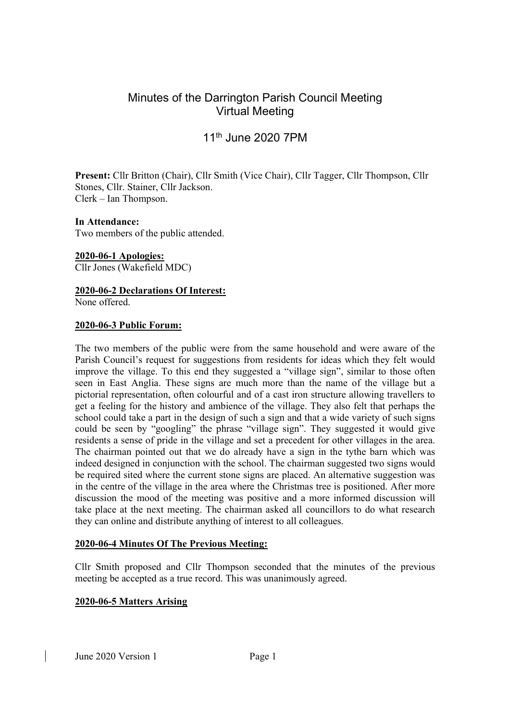# Minutes of the Darrington Parish Council Meeting Virtual Meeting

# 11th June 2020 7PM

Present: Cllr Britton (Chair), Cllr Smith (Vice Chair), Cllr Tagger, Cllr Thompson, Cllr Stones, Cllr. Stainer, Cllr Jackson. Clerk – Ian Thompson.

#### In Attendance:

Two members of the public attended.

2020-06-1 Apologies: Cllr Jones (Wakefield MDC)

2020-06-2 Declarations Of Interest: None offered.

#### 2020-06-3 Public Forum:

The two members of the public were from the same household and were aware of the Parish Council's request for suggestions from residents for ideas which they felt would improve the village. To this end they suggested a "village sign", similar to those often seen in East Anglia. These signs are much more than the name of the village but a pictorial representation, often colourful and of a cast iron structure allowing travellers to get a feeling for the history and ambience of the village. They also felt that perhaps the school could take a part in the design of such a sign and that a wide variety of such signs could be seen by "googling" the phrase "village sign". They suggested it would give residents a sense of pride in the village and set a precedent for other villages in the area. The chairman pointed out that we do already have a sign in the tythe barn which was indeed designed in conjunction with the school. The chairman suggested two signs would be required sited where the current stone signs are placed. An alternative suggestion was in the centre of the village in the area where the Christmas tree is positioned. After more discussion the mood of the meeting was positive and a more informed discussion will take place at the next meeting. The chairman asked all councillors to do what research they can online and distribute anything of interest to all colleagues.

#### 2020-06-4 Minutes Of The Previous Meeting:

Cllr Smith proposed and Cllr Thompson seconded that the minutes of the previous meeting be accepted as a true record. This was unanimously agreed.

# 2020-06-5 Matters Arising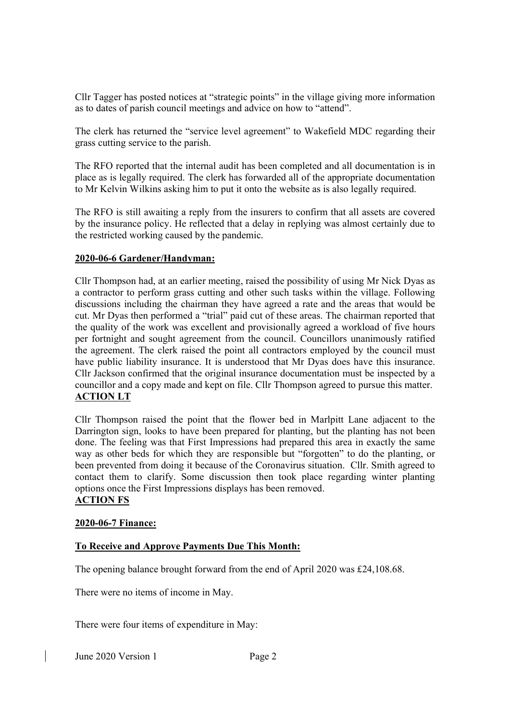Cllr Tagger has posted notices at "strategic points" in the village giving more information as to dates of parish council meetings and advice on how to "attend".

The clerk has returned the "service level agreement" to Wakefield MDC regarding their grass cutting service to the parish.

The RFO reported that the internal audit has been completed and all documentation is in place as is legally required. The clerk has forwarded all of the appropriate documentation to Mr Kelvin Wilkins asking him to put it onto the website as is also legally required.

The RFO is still awaiting a reply from the insurers to confirm that all assets are covered by the insurance policy. He reflected that a delay in replying was almost certainly due to the restricted working caused by the pandemic.

## 2020-06-6 Gardener/Handyman:

Cllr Thompson had, at an earlier meeting, raised the possibility of using Mr Nick Dyas as a contractor to perform grass cutting and other such tasks within the village. Following discussions including the chairman they have agreed a rate and the areas that would be cut. Mr Dyas then performed a "trial" paid cut of these areas. The chairman reported that the quality of the work was excellent and provisionally agreed a workload of five hours per fortnight and sought agreement from the council. Councillors unanimously ratified the agreement. The clerk raised the point all contractors employed by the council must have public liability insurance. It is understood that Mr Dyas does have this insurance. Cllr Jackson confirmed that the original insurance documentation must be inspected by a councillor and a copy made and kept on file. Cllr Thompson agreed to pursue this matter. ACTION LT

Cllr Thompson raised the point that the flower bed in Marlpitt Lane adjacent to the Darrington sign, looks to have been prepared for planting, but the planting has not been done. The feeling was that First Impressions had prepared this area in exactly the same way as other beds for which they are responsible but "forgotten" to do the planting, or been prevented from doing it because of the Coronavirus situation. Cllr. Smith agreed to contact them to clarify. Some discussion then took place regarding winter planting options once the First Impressions displays has been removed. ACTION FS

## 2020-06-7 Finance:

# To Receive and Approve Payments Due This Month:

The opening balance brought forward from the end of April 2020 was £24,108.68.

There were no items of income in May.

There were four items of expenditure in May:

June 2020 Version 1 Page 2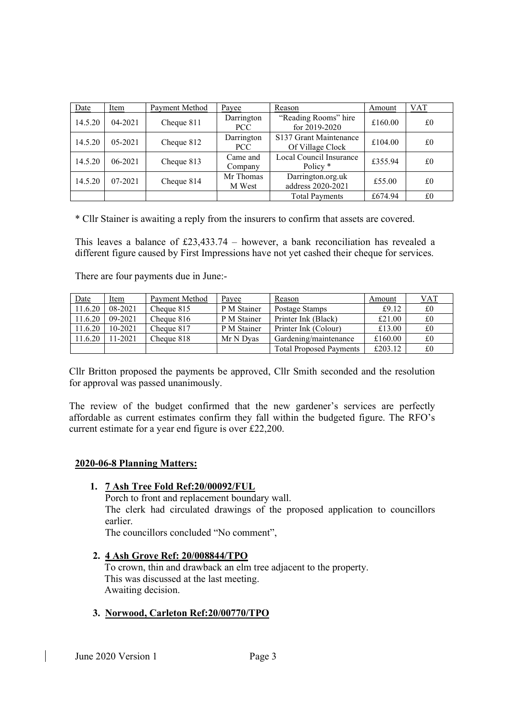| Date    | Item        | Payment Method | Payee               | Reason                                         | Amount  | <b>VAT</b> |
|---------|-------------|----------------|---------------------|------------------------------------------------|---------|------------|
| 14.5.20 | $04 - 2021$ | Cheque 811     | Darrington<br>PCC   | "Reading Rooms" hire<br>for $2019 - 2020$      | £160.00 | £0         |
| 14.5.20 | $05 - 2021$ | Cheque 812     | Darrington<br>PCC   | S137 Grant Maintenance<br>Of Village Clock     | £104.00 | £0         |
| 14.5.20 | 06-2021     | Cheque 813     | Came and<br>Company | Local Council Insurance<br>Policy <sup>*</sup> | £355.94 | £0         |
| 14.5.20 | $07 - 2021$ | Cheque 814     | Mr Thomas<br>M West | Darrington.org.uk<br>address 2020-2021         | £55.00  | £0         |
|         |             |                |                     | <b>Total Payments</b>                          | £674.94 | £0         |

\* Cllr Stainer is awaiting a reply from the insurers to confirm that assets are covered.

This leaves a balance of  $£23,433.74$  – however, a bank reconciliation has revealed a different figure caused by First Impressions have not yet cashed their cheque for services.

There are four payments due in June:-

| Date    | <u>Item</u> | Payment Method | Payee       | Reason                         | Amount  | <u>VAT</u>  |
|---------|-------------|----------------|-------------|--------------------------------|---------|-------------|
| 11.6.20 | 08-2021     | Cheque 815     | P M Stainer | Postage Stamps                 | £9.12   | $\pounds 0$ |
| 11.6.20 | 09-2021     | Cheque 816     | P M Stainer | Printer Ink (Black)            | £21.00  | £0          |
| 11.6.20 | $10 - 2021$ | Cheque 817     | P M Stainer | Printer Ink (Colour)           | £13.00  | £0          |
| 11.6.20 | 11-2021     | Cheque 818     | Mr N Dvas   | Gardening/maintenance          | £160.00 | £0          |
|         |             |                |             | <b>Total Proposed Payments</b> | £203.12 | £0          |

Cllr Britton proposed the payments be approved, Cllr Smith seconded and the resolution for approval was passed unanimously.

The review of the budget confirmed that the new gardener's services are perfectly affordable as current estimates confirm they fall within the budgeted figure. The RFO's current estimate for a year end figure is over £22,200.

#### 2020-06-8 Planning Matters:

#### 1. 7 Ash Tree Fold Ref:20/00092/FUL

Porch to front and replacement boundary wall. The clerk had circulated drawings of the proposed application to councillors earlier.

The councillors concluded "No comment",

#### 2. 4 Ash Grove Ref: 20/008844/TPO

To crown, thin and drawback an elm tree adjacent to the property. This was discussed at the last meeting. Awaiting decision.

#### 3. Norwood, Carleton Ref:20/00770/TPO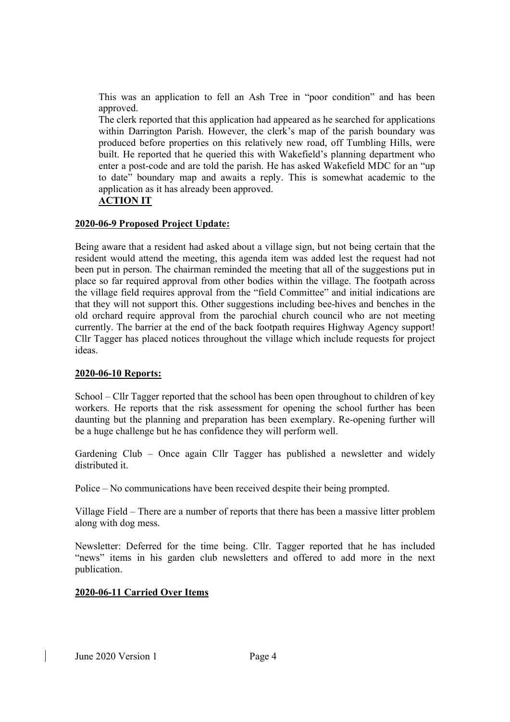This was an application to fell an Ash Tree in "poor condition" and has been approved.

The clerk reported that this application had appeared as he searched for applications within Darrington Parish. However, the clerk's map of the parish boundary was produced before properties on this relatively new road, off Tumbling Hills, were built. He reported that he queried this with Wakefield's planning department who enter a post-code and are told the parish. He has asked Wakefield MDC for an "up to date" boundary map and awaits a reply. This is somewhat academic to the application as it has already been approved.

## ACTION IT

#### 2020-06-9 Proposed Project Update:

Being aware that a resident had asked about a village sign, but not being certain that the resident would attend the meeting, this agenda item was added lest the request had not been put in person. The chairman reminded the meeting that all of the suggestions put in place so far required approval from other bodies within the village. The footpath across the village field requires approval from the "field Committee" and initial indications are that they will not support this. Other suggestions including bee-hives and benches in the old orchard require approval from the parochial church council who are not meeting currently. The barrier at the end of the back footpath requires Highway Agency support! Cllr Tagger has placed notices throughout the village which include requests for project ideas.

# 2020-06-10 Reports:

School – Cllr Tagger reported that the school has been open throughout to children of key workers. He reports that the risk assessment for opening the school further has been daunting but the planning and preparation has been exemplary. Re-opening further will be a huge challenge but he has confidence they will perform well.

Gardening Club – Once again Cllr Tagger has published a newsletter and widely distributed it.

Police – No communications have been received despite their being prompted.

Village Field – There are a number of reports that there has been a massive litter problem along with dog mess.

Newsletter: Deferred for the time being. Cllr. Tagger reported that he has included "news" items in his garden club newsletters and offered to add more in the next publication.

# 2020-06-11 Carried Over Items